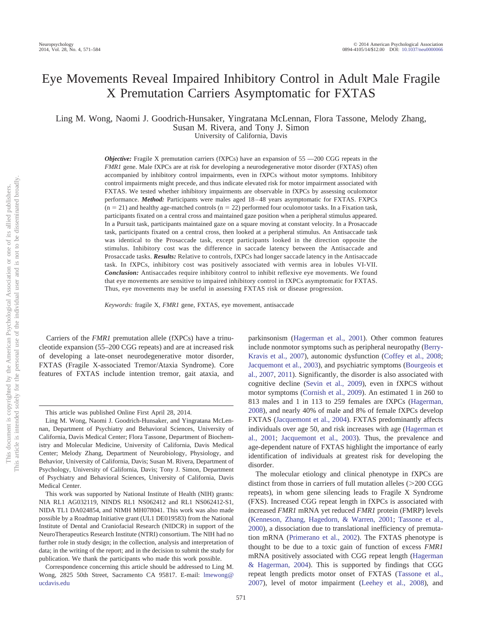# Eye Movements Reveal Impaired Inhibitory Control in Adult Male Fragile X Premutation Carriers Asymptomatic for FXTAS

Ling M. Wong, Naomi J. Goodrich-Hunsaker, Yingratana McLennan, Flora Tassone, Melody Zhang, Susan M. Rivera, and Tony J. Simon

University of California, Davis

*Objective:* Fragile X premutation carriers (fXPCs) have an expansion of 55 —200 CGG repeats in the *FMR1* gene. Male fXPCs are at risk for developing a neurodegenerative motor disorder (FXTAS) often accompanied by inhibitory control impairments, even in fXPCs without motor symptoms. Inhibitory control impairments might precede, and thus indicate elevated risk for motor impairment associated with FXTAS. We tested whether inhibitory impairments are observable in fXPCs by assessing oculomotor performance. *Method:* Participants were males aged 18 – 48 years asymptomatic for FXTAS. FXPCs  $(n = 21)$  and healthy age-matched controls  $(n = 22)$  performed four oculomotor tasks. In a Fixation task, participants fixated on a central cross and maintained gaze position when a peripheral stimulus appeared. In a Pursuit task, participants maintained gaze on a square moving at constant velocity. In a Prosaccade task, participants fixated on a central cross, then looked at a peripheral stimulus. An Antisaccade task was identical to the Prosaccade task, except participants looked in the direction opposite the stimulus. Inhibitory cost was the difference in saccade latency between the Antisaccade and Prosaccade tasks. *Results:* Relative to controls, fXPCs had longer saccade latency in the Antisaccade task. In fXPCs, inhibitory cost was positively associated with vermis area in lobules VI-VII. *Conclusion:* Antisaccades require inhibitory control to inhibit reflexive eye movements. We found that eye movements are sensitive to impaired inhibitory control in fXPCs asymptomatic for FXTAS. Thus, eye movements may be useful in assessing FXTAS risk or disease progression.

*Keywords:* fragile X, *FMR1* gene, FXTAS, eye movement, antisaccade

Carriers of the *FMR1* premutation allele (fXPCs) have a trinucleotide expansion (55–200 CGG repeats) and are at increased risk of developing a late-onset neurodegenerative motor disorder, FXTAS (Fragile X-associated Tremor/Ataxia Syndrome). Core features of FXTAS include intention tremor, gait ataxia, and

parkinsonism (Hagerman et al., 2001). Other common features include nonmotor symptoms such as peripheral neuropathy (Berry-Kravis et al., 2007), autonomic dysfunction (Coffey et al., 2008; Jacquemont et al., 2003), and psychiatric symptoms (Bourgeois et al., 2007, 2011). Significantly, the disorder is also associated with cognitive decline (Sevin et al., 2009), even in fXPCS without motor symptoms (Cornish et al., 2009). An estimated 1 in 260 to 813 males and 1 in 113 to 259 females are fXPCs (Hagerman, 2008), and nearly 40% of male and 8% of female fXPCs develop FXTAS (Jacquemont et al., 2004). FXTAS predominantly affects individuals over age 50, and risk increases with age (Hagerman et al., 2001; Jacquemont et al., 2003). Thus, the prevalence and age-dependent nature of FXTAS highlight the importance of early identification of individuals at greatest risk for developing the disorder.

The molecular etiology and clinical phenotype in fXPCs are distinct from those in carriers of full mutation alleles  $(>200 \text{ CGG})$ repeats), in whom gene silencing leads to Fragile X Syndrome (FXS). Increased CGG repeat length in fXPCs is associated with increased *FMR1* mRNA yet reduced *FMR1* protein (FMRP) levels (Kenneson, Zhang, Hagedorn, & Warren, 2001; Tassone et al., 2000), a dissociation due to translational inefficiency of premutation mRNA (Primerano et al., 2002). The FXTAS phenotype is thought to be due to a toxic gain of function of excess *FMR1* mRNA positively associated with CGG repeat length (Hagerman & Hagerman, 2004). This is supported by findings that CGG repeat length predicts motor onset of FXTAS (Tassone et al., 2007), level of motor impairment (Leehey et al., 2008), and

This article was published Online First April 28, 2014.

Ling M. Wong, Naomi J. Goodrich-Hunsaker, and Yingratana McLennan, Department of Psychiatry and Behavioral Sciences, University of California, Davis Medical Center; Flora Tassone, Department of Biochemistry and Molecular Medicine, University of California, Davis Medical Center; Melody Zhang, Department of Neurobiology, Physiology, and Behavior, University of California, Davis; Susan M. Rivera, Department of Psychology, University of California, Davis; Tony J. Simon, Department of Psychiatry and Behavioral Sciences, University of California, Davis Medical Center.

This work was supported by National Institute of Health (NIH) grants: NIA RL1 AG032119, NINDS RL1 NS062412 and RL1 NS062412-S1, NIDA TL1 DA024854, and NIMH MH078041. This work was also made possible by a Roadmap Initiative grant (UL1 DE019583) from the National Institute of Dental and Craniofacial Research (NIDCR) in support of the NeuroTherapeutics Research Institute (NTRI) consortium. The NIH had no further role in study design; in the collection, analysis and interpretation of data; in the writing of the report; and in the decision to submit the study for publication. We thank the participants who made this work possible.

Correspondence concerning this article should be addressed to Ling M. Wong, 2825 50th Street, Sacramento CA 95817. E-mail: lmewong@ ucdavis.edu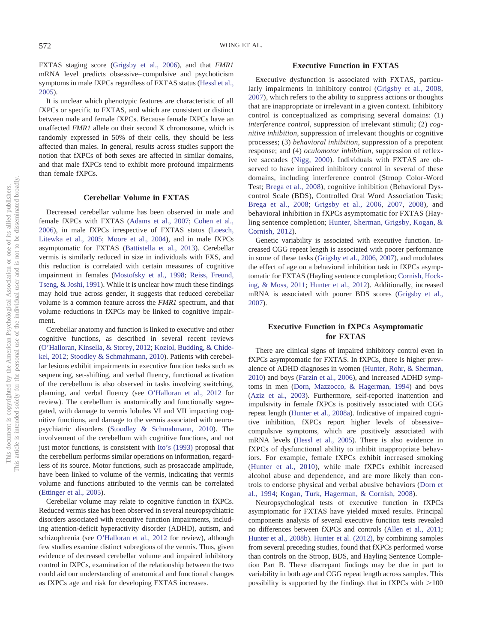FXTAS staging score (Grigsby et al., 2006), and that *FMR1* mRNA level predicts obsessive– compulsive and psychoticism symptoms in male fXPCs regardless of FXTAS status (Hessl et al., 2005).

It is unclear which phenotypic features are characteristic of all fXPCs or specific to FXTAS, and which are consistent or distinct between male and female fXPCs. Because female fXPCs have an unaffected *FMR1* allele on their second X chromosome, which is randomly expressed in 50% of their cells, they should be less affected than males. In general, results across studies support the notion that fXPCs of both sexes are affected in similar domains, and that male fXPCs tend to exhibit more profound impairments than female fXPCs.

# **Cerebellar Volume in FXTAS**

Decreased cerebellar volume has been observed in male and female fXPCs with FXTAS (Adams et al., 2007; Cohen et al., 2006), in male fXPCs irrespective of FXTAS status (Loesch, Litewka et al., 2005; Moore et al., 2004), and in male fXPCs asymptomatic for FXTAS (Battistella et al., 2013). Cerebellar vermis is similarly reduced in size in individuals with FXS, and this reduction is correlated with certain measures of cognitive impairment in females (Mostofsky et al., 1998; Reiss, Freund, Tseng, & Joshi, 1991). While it is unclear how much these findings may hold true across gender, it suggests that reduced cerebellar volume is a common feature across the *FMR1* spectrum, and that volume reductions in fXPCs may be linked to cognitive impairment.

Cerebellar anatomy and function is linked to executive and other cognitive functions, as described in several recent reviews (O'Halloran, Kinsella, & Storey, 2012; Koziol, Budding, & Chidekel, 2012; Stoodley & Schmahmann, 2010). Patients with cerebellar lesions exhibit impairments in executive function tasks such as sequencing, set-shifting, and verbal fluency, functional activation of the cerebellum is also observed in tasks involving switching, planning, and verbal fluency (see O'Halloran et al., 2012 for review). The cerebellum is anatomically and functionally segregated, with damage to vermis lobules VI and VII impacting cognitive functions, and damage to the vermis associated with neuropsychiatric disorders (Stoodley & Schmahmann, 2010). The involvement of the cerebellum with cognitive functions, and not just motor functions, is consistent with Ito's (1993) proposal that the cerebellum performs similar operations on information, regardless of its source. Motor functions, such as prosaccade amplitude, have been linked to volume of the vermis, indicating that vermis volume and functions attributed to the vermis can be correlated (Ettinger et al., 2005).

Cerebellar volume may relate to cognitive function in fXPCs. Reduced vermis size has been observed in several neuropsychiatric disorders associated with executive function impairments, including attention-deficit hyperactivity disorder (ADHD), autism, and schizophrenia (see O'Halloran et al., 2012 for review), although few studies examine distinct subregions of the vermis. Thus, given evidence of decreased cerebellar volume and impaired inhibitory control in fXPCs, examination of the relationship between the two could aid our understanding of anatomical and functional changes as fXPCs age and risk for developing FXTAS increases.

# **Executive Function in FXTAS**

Executive dysfunction is associated with FXTAS, particularly impairments in inhibitory control (Grigsby et al., 2008, 2007), which refers to the ability to suppress actions or thoughts that are inappropriate or irrelevant in a given context. Inhibitory control is conceptualized as comprising several domains: (1) *interference control*, suppression of irrelevant stimuli; (2) *cognitive inhibition*, suppression of irrelevant thoughts or cognitive processes; (3) *behavioral inhibition*, suppression of a prepotent response; and (4) *oculomotor inhibition*, suppression of reflexive saccades (Nigg, 2000). Individuals with FXTAS are observed to have impaired inhibitory control in several of these domains, including interference control (Stroop Color-Word Test; Brega et al., 2008), cognitive inhibition (Behavioral Dyscontrol Scale (BDS), Controlled Oral Word Association Task; Brega et al., 2008; Grigsby et al., 2006, 2007, 2008), and behavioral inhibition in fXPCs asymptomatic for FXTAS (Hayling sentence completion; Hunter, Sherman, Grigsby, Kogan, & Cornish, 2012).

Genetic variability is associated with executive function. Increased CGG repeat length is associated with poorer performance in some of these tasks (Grigsby et al., 2006, 2007), and modulates the effect of age on a behavioral inhibition task in fXPCs asymptomatic for FXTAS (Hayling sentence completion; Cornish, Hocking, & Moss, 2011; Hunter et al., 2012). Additionally, increased mRNA is associated with poorer BDS scores (Grigsby et al., 2007).

# **Executive Function in fXPCs Asymptomatic for FXTAS**

There are clinical signs of impaired inhibitory control even in fXPCs asymptomatic for FXTAS. In fXPCs, there is higher prevalence of ADHD diagnoses in women (Hunter, Rohr, & Sherman, 2010) and boys (Farzin et al., 2006), and increased ADHD symptoms in men (Dorn, Mazzocco, & Hagerman, 1994) and boys (Aziz et al., 2003). Furthermore, self-reported inattention and impulsivity in female fXPCs is positively associated with CGG repeat length (Hunter et al., 2008a). Indicative of impaired cognitive inhibition, fXPCs report higher levels of obsessive– compulsive symptoms, which are positively associated with mRNA levels (Hessl et al., 2005). There is also evidence in fXPCs of dysfunctional ability to inhibit inappropriate behaviors. For example, female fXPCs exhibit increased smoking (Hunter et al., 2010), while male fXPCs exhibit increased alcohol abuse and dependence, and are more likely than controls to endorse physical and verbal abusive behaviors (Dorn et al., 1994; Kogan, Turk, Hagerman, & Cornish, 2008).

Neuropsychological tests of executive function in fXPCs asymptomatic for FXTAS have yielded mixed results. Principal components analysis of several executive function tests revealed no differences between fXPCs and controls (Allen et al., 2011; Hunter et al., 2008b). Hunter et al. (2012), by combining samples from several preceding studies, found that fXPCs performed worse than controls on the Stroop, BDS, and Hayling Sentence Completion Part B. These discrepant findings may be due in part to variability in both age and CGG repeat length across samples. This possibility is supported by the findings that in fXPCs with  $>100$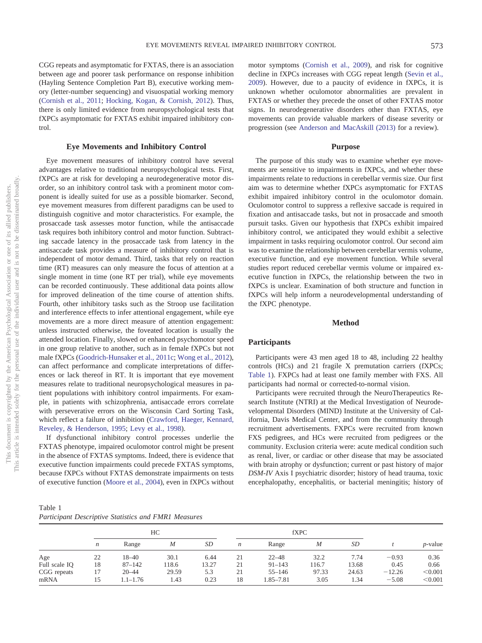trol.

## **Eye Movements and Inhibitory Control**

Eye movement measures of inhibitory control have several advantages relative to traditional neuropsychological tests. First, fXPCs are at risk for developing a neurodegenerative motor disorder, so an inhibitory control task with a prominent motor component is ideally suited for use as a possible biomarker. Second, eye movement measures from different paradigms can be used to distinguish cognitive and motor characteristics. For example, the prosaccade task assesses motor function, while the antisaccade task requires both inhibitory control and motor function. Subtracting saccade latency in the prosaccade task from latency in the antisaccade task provides a measure of inhibitory control that is independent of motor demand. Third, tasks that rely on reaction time (RT) measures can only measure the focus of attention at a single moment in time (one RT per trial), while eye movements can be recorded continuously. These additional data points allow for improved delineation of the time course of attention shifts. Fourth, other inhibitory tasks such as the Stroop use facilitation and interference effects to infer attentional engagement, while eye movements are a more direct measure of attention engagement: unless instructed otherwise, the foveated location is usually the attended location. Finally, slowed or enhanced psychomotor speed in one group relative to another, such as in female fXPCs but not male fXPCs (Goodrich-Hunsaker et al., 2011c; Wong et al., 2012), can affect performance and complicate interpretations of differences or lack thereof in RT. It is important that eye movement measures relate to traditional neuropsychological measures in patient populations with inhibitory control impairments. For example, in patients with schizophrenia, antisaccade errors correlate with perseverative errors on the Wisconsin Card Sorting Task, which reflect a failure of inhibition (Crawford, Haeger, Kennard, Reveley, & Henderson, 1995; Levy et al., 1998).

If dysfunctional inhibitory control processes underlie the FXTAS phenotype, impaired oculomotor control might be present in the absence of FXTAS symptoms. Indeed, there is evidence that executive function impairments could precede FXTAS symptoms, because fXPCs without FXTAS demonstrate impairments on tests of executive function (Moore et al., 2004), even in fXPCs without motor symptoms (Cornish et al., 2009), and risk for cognitive decline in fXPCs increases with CGG repeat length (Sevin et al., 2009). However, due to a paucity of evidence in fXPCs, it is unknown whether oculomotor abnormalities are prevalent in FXTAS or whether they precede the onset of other FXTAS motor signs. In neurodegenerative disorders other than FXTAS, eye movements can provide valuable markers of disease severity or progression (see Anderson and MacAskill (2013) for a review).

## **Purpose**

The purpose of this study was to examine whether eye movements are sensitive to impairments in fXPCs, and whether these impairments relate to reductions in cerebellar vermis size. Our first aim was to determine whether fXPCs asymptomatic for FXTAS exhibit impaired inhibitory control in the oculomotor domain. Oculomotor control to suppress a reflexive saccade is required in fixation and antisaccade tasks, but not in prosaccade and smooth pursuit tasks. Given our hypothesis that fXPCs exhibit impaired inhibitory control, we anticipated they would exhibit a selective impairment in tasks requiring oculomotor control. Our second aim was to examine the relationship between cerebellar vermis volume, executive function, and eye movement function. While several studies report reduced cerebellar vermis volume or impaired executive function in fXPCs, the relationship between the two in fXPCs is unclear. Examination of both structure and function in fXPCs will help inform a neurodevelopmental understanding of the fXPC phenotype.

# **Method**

#### **Participants**

Participants were 43 men aged 18 to 48, including 22 healthy controls (HCs) and 21 fragile X premutation carriers (fXPCs; Table 1). FXPCs had at least one family member with FXS. All participants had normal or corrected-to-normal vision.

Participants were recruited through the NeuroTherapeutics Research Institute (NTRI) at the Medical Investigation of Neurodevelopmental Disorders (MIND) Institute at the University of California, Davis Medical Center, and from the community through recruitment advertisements. FXPCs were recruited from known FXS pedigrees, and HCs were recruited from pedigrees or the community. Exclusion criteria were: acute medical condition such as renal, liver, or cardiac or other disease that may be associated with brain atrophy or dysfunction; current or past history of major *DSM-IV* Axis I psychiatric disorder; history of head trauma, toxic encephalopathy, encephalitis, or bacterial meningitis; history of

| Table 1                                              |  |  |
|------------------------------------------------------|--|--|
| Participant Descriptive Statistics and FMR1 Measures |  |  |

|               | HC               |              |                  |       | <b>fXPC</b> |            |                  |       |          |                 |
|---------------|------------------|--------------|------------------|-------|-------------|------------|------------------|-------|----------|-----------------|
|               | $\boldsymbol{n}$ | Range        | $\boldsymbol{M}$ | SD    | n           | Range      | $\boldsymbol{M}$ | SD    |          | <i>p</i> -value |
| Age           | 22               | $18 - 40$    | 30.1             | 6.44  | 21          | $22 - 48$  | 32.2             | 7.74  | $-0.93$  | 0.36            |
| Full scale IO | 18               | $87 - 142$   | 118.6            | 13.27 | 21          | $91 - 143$ | 116.7            | 13.68 | 0.45     | 0.66            |
| CGG repeats   | 17               | $20 - 44$    | 29.59            | 5.3   | 21          | $55 - 146$ | 97.33            | 24.63 | $-12.26$ | < 0.001         |
| mRNA          | 15               | $1.1 - 1.76$ | 1.43             | 0.23  | 18          | 1.85–7.81  | 3.05             | 1.34  | $-5.08$  | < 0.001         |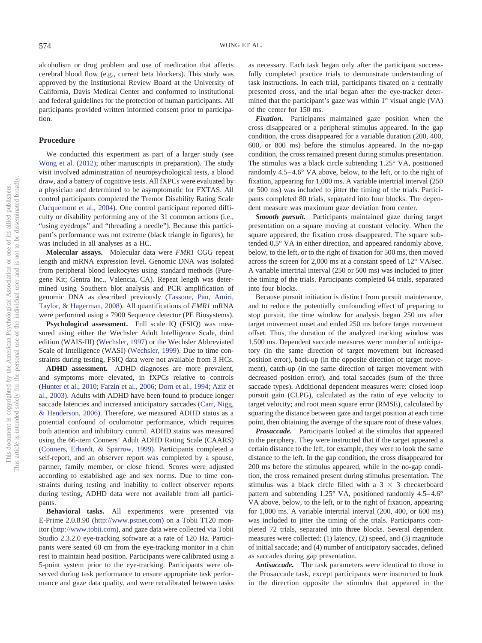alcoholism or drug problem and use of medication that affects cerebral blood flow (e.g., current beta blockers). This study was approved by the Institutional Review Board at the University of California, Davis Medical Center and conformed to institutional and federal guidelines for the protection of human participants. All participants provided written informed consent prior to participation.

#### **Procedure**

We conducted this experiment as part of a larger study (see Wong et al. (2012); other manuscripts in preparation). The study visit involved administration of neuropsychological tests, a blood draw, and a battery of cognitive tests. All fXPCs were evaluated by a physician and determined to be asymptomatic for FXTAS. All control participants completed the Tremor Disability Rating Scale (Jacquemont et al., 2004). One control participant reported difficulty or disability performing any of the 31 common actions (i.e., "using eyedrops" and "threading a needle"). Because this participant's performance was not extreme (black triangle in figures), he was included in all analyses as a HC.

**Molecular assays.** Molecular data were *FMR1* CGG repeat length and mRNA expression level. Genomic DNA was isolated from peripheral blood leukocytes using standard methods (Puregene Kit; Gentra Inc., Valencia, CA). Repeat length was determined using Southern blot analysis and PCR amplification of genomic DNA as described previously (Tassone, Pan, Amiri, Taylor, & Hagerman, 2008). All quantifications of *FMR1* mRNA were performed using a 7900 Sequence detector (PE Biosystems).

**Psychological assessment.** Full scale IQ (FSIQ) was measured using either the Wechsler Adult Intelligence Scale, third edition (WAIS-III) (Wechsler, 1997) or the Wechsler Abbreviated Scale of Intelligence (WASI) (Wechsler, 1999). Due to time constraints during testing, FSIQ data were not available from 3 HCs.

**ADHD assessment.** ADHD diagnoses are more prevalent, and symptoms more elevated, in fXPCs relative to controls (Hunter et al., 2010; Farzin et al., 2006; Dorn et al., 1994; Aziz et al., 2003). Adults with ADHD have been found to produce longer saccade latencies and increased anticipatory saccades (Carr, Nigg, & Henderson, 2006). Therefore, we measured ADHD status as a potential confound of oculomotor performance, which requires both attention and inhibitory control. ADHD status was measured using the 66-item Conners' Adult ADHD Rating Scale (CAARS) (Conners, Erhardt, & Sparrow, 1999). Participants completed a self-report, and an observer report was completed by a spouse, partner, family member, or close friend. Scores were adjusted according to established age and sex norms. Due to time constraints during testing and inability to collect observer reports during testing, ADHD data were not available from all participants.

**Behavioral tasks.** All experiments were presented via E-Prime 2.0.8.90 (http://www.pstnet.com) on a Tobii T120 monitor (http://www.tobii.com), and gaze data were collected via Tobii Studio 2.3.2.0 eye-tracking software at a rate of 120 Hz. Participants were seated 60 cm from the eye-tracking monitor in a chin rest to maintain head position. Participants were calibrated using a 5-point system prior to the eye-tracking. Participants were observed during task performance to ensure appropriate task performance and gaze data quality, and were recalibrated between tasks

as necessary. Each task began only after the participant successfully completed practice trials to demonstrate understanding of task instructions. In each trial, participants fixated on a centrally presented cross, and the trial began after the eye-tracker determined that the participant's gaze was within  $1^{\circ}$  visual angle (VA) of the center for 150 ms.

*Fixation.* Participants maintained gaze position when the cross disappeared or a peripheral stimulus appeared. In the gap condition, the cross disappeared for a variable duration (200, 400, 600, or 800 ms) before the stimulus appeared. In the no-gap condition, the cross remained present during stimulus presentation. The stimulus was a black circle subtending 1.25° VA, positioned randomly 4.5– 4.6° VA above, below, to the left, or to the right of fixation, appearing for 1,000 ms. A variable intertrial interval (250 or 500 ms) was included to jitter the timing of the trials. Participants completed 80 trials, separated into four blocks. The dependent measure was maximum gaze deviation from center.

*Smooth pursuit.* Participants maintained gaze during target presentation on a square moving at constant velocity. When the square appeared, the fixation cross disappeared. The square subtended 0.5° VA in either direction, and appeared randomly above, below, to the left, or to the right of fixation for 500 ms, then moved across the screen for 2,000 ms at a constant speed of 12° VA/sec. A variable intertrial interval (250 or 500 ms) was included to jitter the timing of the trials. Participants completed 64 trials, separated into four blocks.

Because pursuit initiation is distinct from pursuit maintenance, and to reduce the potentially confounding effect of preparing to stop pursuit, the time window for analysis began 250 ms after target movement onset and ended 250 ms before target movement offset. Thus, the duration of the analyzed tracking window was 1,500 ms. Dependent saccade measures were: number of anticipatory (in the same direction of target movement but increased position error), back-up (in the opposite direction of target movement), catch-up (in the same direction of target movement with decreased position error), and total saccades (sum of the three saccade types). Additional dependent measures were: closed loop pursuit gain (CLPG), calculated as the ratio of eye velocity to target velocity; and root mean square error (RMSE), calculated by squaring the distance between gaze and target position at each time point, then obtaining the average of the square root of these values.

*Prosaccade.* Participants looked at the stimulus that appeared in the periphery. They were instructed that if the target appeared a certain distance to the left, for example, they were to look the same distance to the left. In the gap condition, the cross disappeared for 200 ms before the stimulus appeared, while in the no-gap condition, the cross remained present during stimulus presentation. The stimulus was a black circle filled with a  $3 \times 3$  checkerboard pattern and subtending 1.25° VA, positioned randomly 4.5–4.6° VA above, below, to the left, or to the right of fixation, appearing for 1,000 ms. A variable intertrial interval (200, 400, or 600 ms) was included to jitter the timing of the trials. Participants completed 72 trials, separated into three blocks. Several dependent measures were collected: (1) latency, (2) speed, and (3) magnitude of initial saccade; and (4) number of anticipatory saccades, defined as saccades during gap presentation.

*Antisaccade.* The task parameters were identical to those in the Prosaccade task, except participants were instructed to look in the direction opposite the stimulus that appeared in the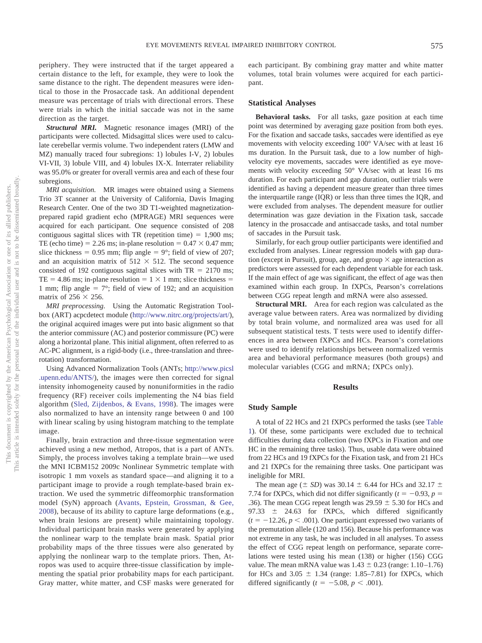This document is copyrighted by the American Psychological

This article is intended solely for the personal

periphery. They were instructed that if the target appeared a certain distance to the left, for example, they were to look the same distance to the right. The dependent measures were identical to those in the Prosaccade task. An additional dependent measure was percentage of trials with directional errors. These were trials in which the initial saccade was not in the same direction as the target.

*Structural MRI.* Magnetic resonance images (MRI) of the participants were collected. Midsagittal slices were used to calculate cerebellar vermis volume. Two independent raters (LMW and MZ) manually traced four subregions: 1) lobules I-V, 2) lobules VI-VII, 3) lobule VIII, and 4) lobules IX-X. Interrater reliability was 95.0% or greater for overall vermis area and each of these four subregions.

*MRI acquisition.* MR images were obtained using a Siemens Trio 3T scanner at the University of California, Davis Imaging Research Center. One of the two 3D T1-weighted magnetizationprepared rapid gradient echo (MPRAGE) MRI sequences were acquired for each participant. One sequence consisted of 208 contiguous sagittal slices with TR (repetition time)  $= 1,900$  ms; TE (echo time) = 2.26 ms; in-plane resolution =  $0.47 \times 0.47$  mm; slice thickness =  $0.95$  mm; flip angle =  $9^\circ$ ; field of view of 207; and an acquisition matrix of  $512 \times 512$ . The second sequence consisted of 192 contiguous sagittal slices with  $TR = 2170$  ms; TE = 4.86 ms; in-plane resolution =  $1 \times 1$  mm; slice thickness = 1 mm; flip angle =  $7^{\circ}$ ; field of view of 192; and an acquisition matrix of  $256 \times 256$ .

*MRI preprocessing.* Using the Automatic Registration Toolbox (ART) acpcdetect module (http://www.nitrc.org/projects/art/), the original acquired images were put into basic alignment so that the anterior commissure (AC) and posterior commissure (PC) were along a horizontal plane. This initial alignment, often referred to as AC-PC alignment, is a rigid-body (i.e., three-translation and threerotation) transformation.

Using Advanced Normalization Tools (ANTs; http://www.picsl .upenn.edu/ANTS/), the images were then corrected for signal intensity inhomogeneity caused by nonuniformities in the radio frequency (RF) receiver coils implementing the N4 bias field algorithm (Sled, Zijdenbos, & Evans, 1998). The images were also normalized to have an intensity range between 0 and 100 with linear scaling by using histogram matching to the template image.

Finally, brain extraction and three-tissue segmentation were achieved using a new method, Atropos, that is a part of ANTs. Simply, the process involves taking a template brain—we used the MNI ICBM152 2009c Nonlinear Symmetric template with isotropic 1 mm voxels as standard space—and aligning it to a participant image to provide a rough template-based brain extraction. We used the symmetric diffeomorphic transformation model (SyN) approach (Avants, Epstein, Grossman, & Gee, 2008), because of its ability to capture large deformations (e.g., when brain lesions are present) while maintaining topology. Individual participant brain masks were generated by applying the nonlinear warp to the template brain mask. Spatial prior probability maps of the three tissues were also generated by applying the nonlinear warp to the template priors. Then, Atropos was used to acquire three-tissue classification by implementing the spatial prior probability maps for each participant. Gray matter, white matter, and CSF masks were generated for

each participant. By combining gray matter and white matter volumes, total brain volumes were acquired for each participant.

## **Statistical Analyses**

**Behavioral tasks.** For all tasks, gaze position at each time point was determined by averaging gaze position from both eyes. For the fixation and saccade tasks, saccades were identified as eye movements with velocity exceeding 100° VA/sec with at least 16 ms duration. In the Pursuit task, due to a low number of highvelocity eye movements, saccades were identified as eye movements with velocity exceeding 50° VA/sec with at least 16 ms duration. For each participant and gap duration, outlier trials were identified as having a dependent measure greater than three times the interquartile range (IQR) or less than three times the IQR, and were excluded from analyses. The dependent measure for outlier determination was gaze deviation in the Fixation task, saccade latency in the prosaccade and antisaccade tasks, and total number of saccades in the Pursuit task.

Similarly, for each group outlier participants were identified and excluded from analyses. Linear regression models with gap duration (except in Pursuit), group, age, and group  $\times$  age interaction as predictors were assessed for each dependent variable for each task. If the main effect of age was significant, the effect of age was then examined within each group. In fXPCs, Pearson's correlations between CGG repeat length and mRNA were also assessed.

**Structural MRI.** Area for each region was calculated as the average value between raters. Area was normalized by dividing by total brain volume, and normalized area was used for all subsequent statistical tests. T tests were used to identify differences in area between fXPCs and HCs. Pearson's correlations were used to identify relationships between normalized vermis area and behavioral performance measures (both groups) and molecular variables (CGG and mRNA; fXPCs only).

# **Results**

## **Study Sample**

A total of 22 HCs and 21 fXPCs performed the tasks (see Table 1). Of these, some participants were excluded due to technical difficulties during data collection (two fXPCs in Fixation and one HC in the remaining three tasks). Thus, usable data were obtained from 22 HCs and 19 fXPCs for the Fixation task, and from 21 HCs and 21 fXPCs for the remaining three tasks. One participant was ineligible for MRI.

The mean age ( $\pm$  SD) was 30.14  $\pm$  6.44 for HCs and 32.17  $\pm$ 7.74 for fXPCs, which did not differ significantly  $(t = -0.93, p =$ .36). The mean CGG repeat length was  $29.59 \pm 5.30$  for HCs and 97.33  $\pm$  24.63 for fXPCs, which differed significantly  $(t = -12.26, p < .001)$ . One participant expressed two variants of the premutation allele (120 and 156). Because his performance was not extreme in any task, he was included in all analyses. To assess the effect of CGG repeat length on performance, separate correlations were tested using his mean (138) or higher (156) CGG value. The mean mRNA value was  $1.43 \pm 0.23$  (range: 1.10–1.76) for HCs and  $3.05 \pm 1.34$  (range: 1.85–7.81) for fXPCs, which differed significantly  $(t = -5.08, p < .001)$ .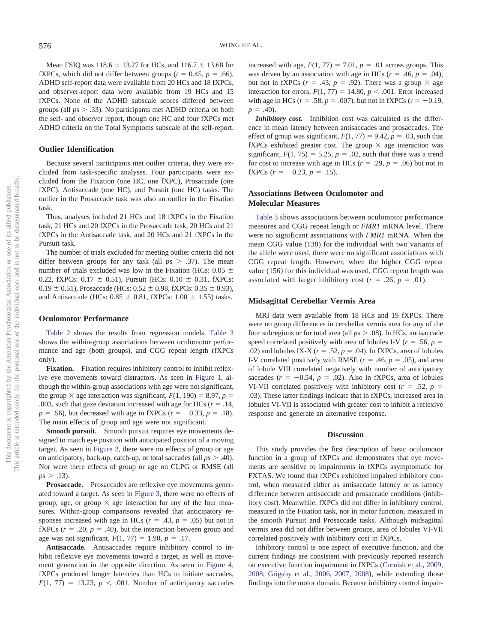Mean FSIQ was  $118.6 \pm 13.27$  for HCs, and  $116.7 \pm 13.68$  for fXPCs, which did not differ between groups ( $t = 0.45$ ,  $p = .66$ ). ADHD self-report data were available from 20 HCs and 18 fXPCs, and observer-report data were available from 19 HCs and 15 fXPCs. None of the ADHD subscale scores differed between groups (all *p*s .33). No participants met ADHD criteria on both the self- and observer report, though one HC and four fXPCs met ADHD criteria on the Total Symptoms subscale of the self-report.

## **Outlier Identification**

Because several participants met outlier criteria, they were excluded from task-specific analyses. Four participants were excluded from the Fixation (one HC, one fXPC), Prosaccade (one fXPC), Antisaccade (one HC), and Pursuit (one HC) tasks. The outlier in the Prosaccade task was also an outlier in the Fixation task.

Thus, analyses included 21 HCs and 18 fXPCs in the Fixation task, 21 HCs and 20 fXPCs in the Prosaccade task, 20 HCs and 21 fXPCs in the Antisaccade task, and 20 HCs and 21 fXPCs in the Pursuit task.

The number of trials excluded for meeting outlier criteria did not differ between groups for any task (all  $p_s > .37$ ). The mean number of trials excluded was low in the Fixation (HCs:  $0.05 \pm$ 0.22, fXPCs:  $0.17 \pm 0.51$ ), Pursuit (HCs:  $0.10 \pm 0.31$ , fXPCs:  $0.19 \pm 0.51$ ), Prosaccade (HCs:  $0.52 \pm 0.98$ , fXPCs:  $0.35 \pm 0.93$ ), and Antisaccade (HCs:  $0.85 \pm 0.81$ , fXPCs:  $1.00 \pm 1.55$ ) tasks.

#### **Oculomotor Performance**

Table 2 shows the results from regression models. Table 3 shows the within-group associations between oculomotor performance and age (both groups), and CGG repeat length (fXPCs only).

Fixation. Fixation requires inhibitory control to inhibit reflexive eye movements toward distractors. As seen in Figure 1, although the within-group associations with age were not significant, the group  $\times$  age interaction was significant,  $F(1, 190) = 8.97$ ,  $p =$ .003, such that gaze deviation increased with age for HCs  $(r = .14, )$  $p = .56$ ), but decreased with age in fXPCs ( $r = -0.33$ ,  $p = .18$ ). The main effects of group and age were not significant.

**Smooth pursuit.** Smooth pursuit requires eye movements designed to match eye position with anticipated position of a moving target. As seen in Figure 2, there were no effects of group or age on anticipatory, back-up, catch-up, or total saccades (all  $ps > .40$ ). Nor were there effects of group or age on CLPG or RMSE (all  $p s > .13$ ).

Prosaccade. Prosaccades are reflexive eye movements generated toward a target. As seen in Figure 3, there were no effects of group, age, or group  $\times$  age interaction for any of the four measures. Within-group comparisons revealed that anticipatory responses increased with age in HCs  $(r = .43, p = .05)$  but not in fXPCs  $(r = .20, p = .40)$ , but the interaction between group and age was not significant,  $F(1, 77) = 1.90, p = .17$ .

**Antisaccade.** Antisaccades require inhibitory control to inhibit reflexive eye movements toward a target, as well as movement generation in the opposite direction. As seen in Figure 4, fXPCs produced longer latencies than HCs to initiate saccades,  $F(1, 77) = 13.23, p < .001$ . Number of anticipatory saccades

increased with age,  $F(1, 77) = 7.01$ ,  $p = .01$  across groups. This was driven by an association with age in HCs  $(r = .46, p = .04)$ , but not in fXPCs ( $r = .43$ ,  $p = .92$ ). There was a group  $\times$  age interaction for errors,  $F(1, 77) = 14.80, p < .001$ . Error increased with age in HCs ( $r = .58$ ,  $p = .007$ ), but not in fXPCs ( $r = -0.19$ ,  $p = .40$ ).

*Inhibitory cost.* Inhibition cost was calculated as the difference in mean latency between antisaccades and prosaccades. The effect of group was significant,  $F(1, 77) = 9.42$ ,  $p = .03$ , such that fXPCs exhibited greater cost. The group  $\times$  age interaction was significant,  $F(1, 75) = 5.25$ ,  $p = .02$ , such that there was a trend for cost to increase with age in HCs  $(r = .29, p = .06)$  but not in fXPCs  $(r = -0.23, p = .15)$ .

# **Associations Between Oculomotor and Molecular Measures**

Table 3 shows associations between oculomotor performance measures and CGG repeat length or *FMR1* mRNA level. There were no significant associations with *FMR1* mRNA. When the mean CGG value (138) for the individual with two variants of the allele were used, there were no significant associations with CGG repeat length. However, when the higher CGG repeat value (156) for this individual was used, CGG repeat length was associated with larger inhibitory cost ( $r = .26$ ,  $p = .01$ ).

#### **Midsagittal Cerebellar Vermis Area**

MRI data were available from 18 HCs and 19 fXPCs. There were no group differences in cerebellar vermis area for any of the four subregions or for total area (all  $ps > .08$ ). In HCs, antisaccade speed correlated positively with area of lobules I-V ( $r = .56$ ,  $p =$ .02) and lobules IX-X ( $r = .52$ ,  $p = .04$ ). In fXPCs, area of lobules I-V correlated positively with RMSE ( $r = .46$ ,  $p = .05$ ), and area of lobule VIII correlated negatively with number of anticipatory saccades  $(r = -0.54, p = .02)$ . Also in fXPCs, area of lobules VI-VII correlated positively with inhibitory cost ( $r = .52$ ,  $p =$ .03). These latter findings indicate that in fXPCs, increased area in lobules VI-VII is associated with greater cost to inhibit a reflexive response and generate an alternative response.

## **Discussion**

This study provides the first description of basic oculomotor function in a group of fXPCs and demonstrates that eye movements are sensitive to impairments in fXPCs asymptomatic for FXTAS. We found that fXPCs exhibited impaired inhibitory control, when measured either as antisaccade latency or as latency difference between antisaccade and prosaccade conditions (inhibitory cost). Meanwhile, fXPCs did not differ in inhibitory control, measured in the Fixation task, nor in motor function, measured in the smooth Pursuit and Prosaccade tasks. Although midsagittal vermis area did not differ between groups, area of lobules VI-VII correlated positively with inhibitory cost in fXPCs.

Inhibitory control is one aspect of executive function, and the current findings are consistent with previously reported research on executive function impairment in fXPCs (Cornish et al., 2009, 2008; Grigsby et al., 2006, 2007, 2008), while extending those findings into the motor domain. Because inhibitory control impair-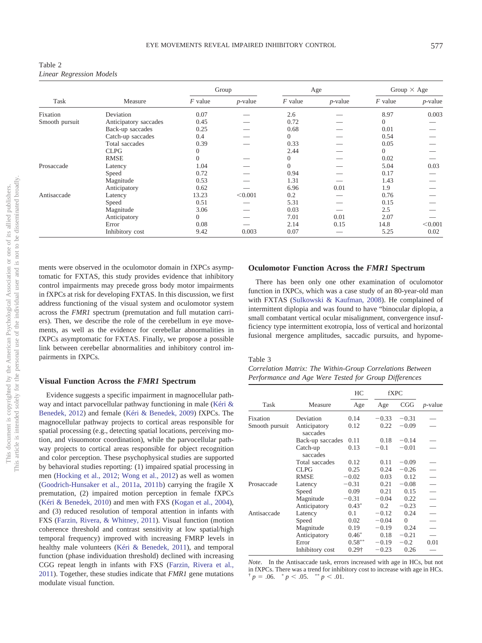| Table 2                         |  |
|---------------------------------|--|
| <b>Linear Regression Models</b> |  |

|                | Measure               |           | Group      |           | Age        |                | Group $\times$ Age |  |
|----------------|-----------------------|-----------|------------|-----------|------------|----------------|--------------------|--|
| Task           |                       | $F$ value | $p$ -value | $F$ value | $p$ -value | $F$ value      | $p$ -value         |  |
| Fixation       | Deviation             | 0.07      |            | 2.6       |            | 8.97           | 0.003              |  |
| Smooth pursuit | Anticipatory saccades | 0.45      |            | 0.72      |            | $\overline{0}$ |                    |  |
|                | Back-up saccades      | 0.25      |            | 0.68      |            | 0.01           |                    |  |
|                | Catch-up saccades     | 0.4       |            | $\theta$  |            | 0.54           |                    |  |
|                | Total saccades        | 0.39      |            | 0.33      |            | 0.05           |                    |  |
|                | <b>CLPG</b>           | $\Omega$  |            | 2.44      |            | $\Omega$       |                    |  |
|                | <b>RMSE</b>           | $\theta$  |            | $\theta$  |            | 0.02           |                    |  |
| Prosaccade     | Latency               | 1.04      |            | $\theta$  |            | 5.04           | 0.03               |  |
|                | Speed                 | 0.72      |            | 0.94      |            | 0.17           |                    |  |
|                | Magnitude             | 0.53      |            | 1.31      |            | 1.43           |                    |  |
|                | Anticipatory          | 0.62      |            | 6.96      | 0.01       | 1.9            |                    |  |
| Antisaccade    | Latency               | 13.23     | < 0.001    | 0.2       |            | 0.76           |                    |  |
|                | Speed                 | 0.51      |            | 5.31      |            | 0.15           |                    |  |
|                | Magnitude             | 3.06      |            | 0.03      |            | 2.5            |                    |  |
|                | Anticipatory          | $\theta$  |            | 7.01      | 0.01       | 2.07           |                    |  |
|                | Error                 | 0.08      |            | 2.14      | 0.15       | 14.8           | < 0.001            |  |
|                | Inhibitory cost       | 9.42      | 0.003      | 0.07      |            | 5.25           | 0.02               |  |

ments were observed in the oculomotor domain in fXPCs asymptomatic for FXTAS, this study provides evidence that inhibitory control impairments may precede gross body motor impairments in fXPCs at risk for developing FXTAS. In this discussion, we first address functioning of the visual system and oculomotor system across the *FMR1* spectrum (premutation and full mutation carriers). Then, we describe the role of the cerebellum in eye movements, as well as the evidence for cerebellar abnormalities in fXPCs asymptomatic for FXTAS. Finally, we propose a possible link between cerebellar abnormalities and inhibitory control impairments in fXPCs.

#### **Visual Function Across the** *FMR1* **Spectrum**

Evidence suggests a specific impairment in magnocellular pathway and intact parvocellular pathway functioning in male (Kéri & Benedek, 2012) and female (Kéri & Benedek, 2009) fXPCs. The magnocellular pathway projects to cortical areas responsible for spatial processing (e.g., detecting spatial locations, perceiving motion, and visuomotor coordination), while the parvocellular pathway projects to cortical areas responsible for object recognition and color perception. These psychophysical studies are supported by behavioral studies reporting: (1) impaired spatial processing in men (Hocking et al., 2012; Wong et al., 2012) as well as women (Goodrich-Hunsaker et al., 2011a, 2011b) carrying the fragile X premutation, (2) impaired motion perception in female fXPCs (Kéri & Benedek, 2010) and men with FXS (Kogan et al., 2004), and (3) reduced resolution of temporal attention in infants with FXS (Farzin, Rivera, & Whitney, 2011). Visual function (motion coherence threshold and contrast sensitivity at low spatial/high temporal frequency) improved with increasing FMRP levels in healthy male volunteers (Kéri & Benedek, 2011), and temporal function (phase individuation threshold) declined with increasing CGG repeat length in infants with FXS (Farzin, Rivera et al., 2011). Together, these studies indicate that *FMR1* gene mutations modulate visual function.

# **Oculomotor Function Across the** *FMR1* **Spectrum**

There has been only one other examination of oculomotor function in fXPCs, which was a case study of an 80-year-old man with FXTAS (Sulkowski & Kaufman, 2008). He complained of intermittent diplopia and was found to have "binocular diplopia, a small combatant vertical ocular misalignment, convergence insufficiency type intermittent exotropia, loss of vertical and horizontal fusional mergence amplitudes, saccadic pursuits, and hypome-

#### Table 3

| Correlation Matrix: The Within-Group Correlations Between |  |  |
|-----------------------------------------------------------|--|--|
| Performance and Age Were Tested for Group Differences     |  |  |

|                |                          | HС            |         | <b>fXPC</b> |                 |
|----------------|--------------------------|---------------|---------|-------------|-----------------|
| Task           | Measure                  | Age           | Age     | CGG         | <i>p</i> -value |
| Fixation       | Deviation                | 0.14          | $-0.33$ | $-0.31$     |                 |
| Smooth pursuit | Anticipatory<br>saccades | 0.12          | 0.22    | $-0.09$     |                 |
|                | Back-up saccades         | 0.11          | 0.18    | $-0.14$     |                 |
|                | Catch-up<br>saccades     | 0.13          | $-0.1$  | $-0.01$     |                 |
|                | Total saccades           | 0.12          | 0.11    | $-0.09$     |                 |
|                | <b>CLPG</b>              | 0.25          | 0.24    | $-0.26$     |                 |
|                | <b>RMSE</b>              | $-0.02$       | 0.03    | 0.12        |                 |
| Prosaccade     | Latency                  | $-0.31$       | 0.21    | $-0.08$     |                 |
|                | Speed                    | 0.09          | 0.21    | 0.15        |                 |
|                | Magnitude                | $-0.31$       | $-0.04$ | 0.22        |                 |
|                | Anticipatory             | $0.43*$       | 0.2     | $-0.23$     |                 |
| Antisaccade    | Latency                  | 0.1           | $-0.12$ | 0.24        |                 |
|                | Speed                    | 0.02          | $-0.04$ | $\theta$    |                 |
|                | Magnitude                | 0.19          | $-0.19$ | 0.24        |                 |
|                | Anticipatory             | $0.46*$       | 0.18    | $-0.21$     |                 |
|                | Error                    | $0.58***$     | $-0.19$ | $-0.2$      | 0.01            |
|                | Inhibitory cost          | $0.29\dagger$ | $-0.23$ | 0.26        |                 |

*Note*. In the Antisaccade task, errors increased with age in HCs, but not in fXPCs. There was a trend for inhibitory cost to increase with age in HCs.  $\phi^{\dagger} p = .06.$   $\phi^{\dagger} p < .05.$   $\phi^{\dagger} p < .01.$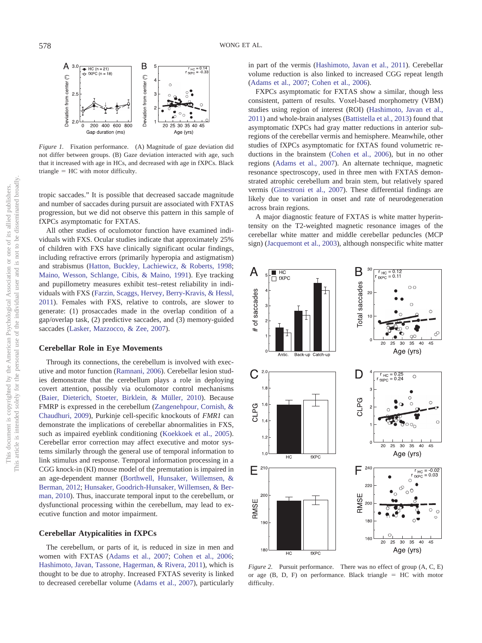

*Figure 1.* Fixation performance. (A) Magnitude of gaze deviation did not differ between groups. (B) Gaze deviation interacted with age, such that it increased with age in HCs, and decreased with age in fXPCs. Black  $triangle = HC$  with motor difficulty.

tropic saccades." It is possible that decreased saccade magnitude and number of saccades during pursuit are associated with FXTAS progression, but we did not observe this pattern in this sample of fXPCs asymptomatic for FXTAS.

All other studies of oculomotor function have examined individuals with FXS. Ocular studies indicate that approximately 25% of children with FXS have clinically significant ocular findings, including refractive errors (primarily hyperopia and astigmatism) and strabismus (Hatton, Buckley, Lachiewicz, & Roberts, 1998; Maino, Wesson, Schlange, Cibis, & Maino, 1991). Eye tracking and pupillometry measures exhibit test–retest reliability in individuals with FXS (Farzin, Scaggs, Hervey, Berry-Kravis, & Hessl, 2011). Females with FXS, relative to controls, are slower to generate: (1) prosaccades made in the overlap condition of a gap/overlap task, (2) predictive saccades, and (3) memory-guided saccades (Lasker, Mazzocco, & Zee, 2007).

## **Cerebellar Role in Eye Movements**

Through its connections, the cerebellum is involved with executive and motor function (Ramnani, 2006). Cerebellar lesion studies demonstrate that the cerebellum plays a role in deploying covert attention, possibly via oculomotor control mechanisms (Baier, Dieterich, Stoeter, Birklein, & Müller, 2010). Because FMRP is expressed in the cerebellum (Zangenehpour, Cornish, & Chaudhuri, 2009), Purkinje cell-specific knockouts of *FMR1* can demonstrate the implications of cerebellar abnormalities in FXS, such as impaired eyeblink conditioning (Koekkoek et al., 2005). Cerebellar error correction may affect executive and motor systems similarly through the general use of temporal information to link stimulus and response. Temporal information processing in a CGG knock-in (KI) mouse model of the premutation is impaired in an age-dependent manner (Borthwell, Hunsaker, Willemsen, & Berman, 2012; Hunsaker, Goodrich-Hunsaker, Willemsen, & Berman, 2010). Thus, inaccurate temporal input to the cerebellum, or dysfunctional processing within the cerebellum, may lead to executive function and motor impairment.

#### **Cerebellar Atypicalities in fXPCs**

The cerebellum, or parts of it, is reduced in size in men and women with FXTAS (Adams et al., 2007; Cohen et al., 2006; Hashimoto, Javan, Tassone, Hagerman, & Rivera, 2011), which is thought to be due to atrophy. Increased FXTAS severity is linked to decreased cerebellar volume (Adams et al., 2007), particularly

in part of the vermis (Hashimoto, Javan et al., 2011). Cerebellar volume reduction is also linked to increased CGG repeat length (Adams et al., 2007; Cohen et al., 2006).

FXPCs asymptomatic for FXTAS show a similar, though less consistent, pattern of results. Voxel-based morphometry (VBM) studies using region of interest (ROI) (Hashimoto, Javan et al., 2011) and whole-brain analyses (Battistella et al., 2013) found that asymptomatic fXPCs had gray matter reductions in anterior subregions of the cerebellar vermis and hemisphere. Meanwhile, other studies of fXPCs asymptomatic for fXTAS found volumetric reductions in the brainstem (Cohen et al., 2006), but in no other regions (Adams et al., 2007). An alternate technique, magnetic resonance spectroscopy, used in three men with FXTAS demonstrated atrophic cerebellum and brain stem, but relatively spared vermis (Ginestroni et al., 2007). These differential findings are likely due to variation in onset and rate of neurodegeneration across brain regions.

A major diagnostic feature of FXTAS is white matter hyperintensity on the T2-weighted magnetic resonance images of the cerebellar white matter and middle cerebellar peduncles (MCP sign) (Jacquemont et al., 2003), although nonspecific white matter



*Figure 2.* Pursuit performance. There was no effect of group (A, C, E) or age  $(B, D, F)$  on performance. Black triangle  $= HC$  with motor difficulty.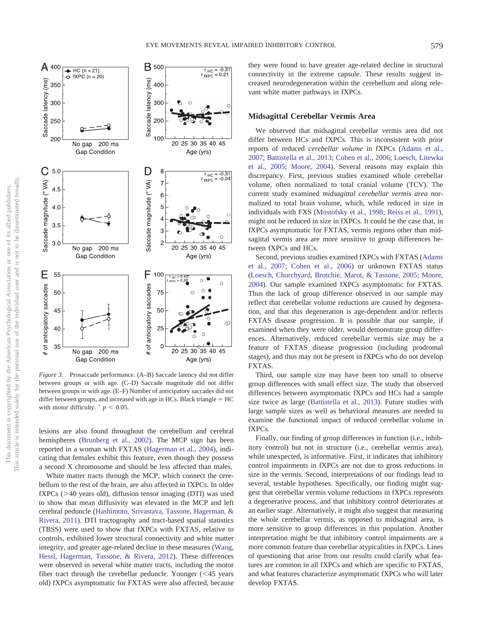

*Figure 3.* Prosaccade performance. (A–B) Saccade latency did not differ between groups or with age. (C–D) Saccade magnitude did not differ between groups or with age. (E–F) Number of anticipatory saccades did not differ between groups, and increased with age in HCs. Black triangle  $=$  HC with motor difficulty.  $p < 0.05$ .

lesions are also found throughout the cerebellum and cerebral hemispheres (Brunberg et al., 2002). The MCP sign has been reported in a woman with FXTAS (Hagerman et al., 2004), indicating that females exhibit this feature, even though they possess a second X chromosome and should be less affected than males.

White matter tracts through the MCP, which connect the cerebellum to the rest of the brain, are also affected in fXPCs. In older  $fXPCs$  ( $>40$  years old), diffusion tensor imaging (DTI) was used to show that mean diffusivity was elevated in the MCP and left cerebral peduncle (Hashimoto, Srivastava, Tassone, Hagerman, & Rivera, 2011). DTI tractography and tract-based spatial statistics (TBSS) were used to show that fXPCs with FXTAS, relative to controls, exhibited lower structural connectivity and white matter integrity, and greater age-related decline in these measures (Wang, Hessl, Hagerman, Tassone, & Rivera, 2012). These differences were observed in several white matter tracts, including the motor fiber tract through the cerebellar peduncle. Younger  $(< 45$  years old) fXPCs asymptomatic for FXTAS were also affected, because they were found to have greater age-related decline in structural connectivity in the extreme capsule. These results suggest increased neurodegeneration within the cerebellum and along relevant white matter pathways in fXPCs.

# **Midsagittal Cerebellar Vermis Area**

We observed that midsagittal cerebellar vermis area did not differ between HCs and fXPCs. This is inconsistent with prior reports of reduced *cerebellar volume* in fXPCs (Adams et al., 2007; Battistella et al., 2013; Cohen et al., 2006; Loesch, Litewka et al., 2005; Moore, 2004). Several reasons may explain this discrepancy. First, previous studies examined whole cerebellar volume, often normalized to total cranial volume (TCV). The current study examined *midsagittal cerebellar vermis area* normalized to total brain volume, which, while reduced in size in individuals with FXS (Mostofsky et al., 1998; Reiss et al., 1991), might not be reduced in size in fXPCs. It could be the case that, in fXPCs asymptomatic for FXTAS, vermis regions other than midsagittal vermis area are more sensitive to group differences between fXPCs and HCs.

Second, previous studies examined fXPCs with FXTAS (Adams et al., 2007; Cohen et al., 2006) or unknown FXTAS status (Loesch, Churchyard, Brotchie, Marot, & Tassone, 2005; Moore, 2004). Our sample examined fXPCs asymptomatic for FXTAS. Thus the lack of group difference observed in our sample may reflect that cerebellar volume reductions are caused by degeneration, and that this degeneration is age-dependent and/or reflects FXTAS disease progression. It is possible that our sample, if examined when they were older, would demonstrate group differences. Alternatively, reduced cerebellar vermis size may be a feature of FXTAS disease progression (including prodromal stages), and thus may not be present in fXPCs who do not develop FXTAS.

Third, our sample size may have been too small to observe group differences with small effect size. The study that observed differences between asymptomatic fXPCs and HCs had a sample size twice as large (Battistella et al., 2013). Future studies with large sample sizes as well as behavioral measures are needed to examine the functional impact of reduced cerebellar volume in fXPCs.

Finally, our finding of group differences in function (i.e., inhibitory control) but not in structure (i.e., cerebellar vermis area), while unexpected, is informative. First, it indicates that inhibitory control impairments in fXPCs are not due to gross reductions in size in the vermis. Second, interpretations of our findings lead to several, testable hypotheses. Specifically, our finding might suggest that cerebellar vermis volume reductions in fXPCs represents a degenerative process, and that inhibitory control deteriorates at an earlier stage. Alternatively, it might also suggest that measuring the whole cerebellar vermis, as opposed to midsagittal area, is more sensitive to group differences in this population. Another interpretation might be that inhibitory control impairments are a more common feature than cerebellar atypicalities in fXPCs. Lines of questioning that arise from our results could clarify what features are common in all fXPCs and which are specific to FXTAS, and what features characterize asymptomatic fXPCs who will later develop FXTAS.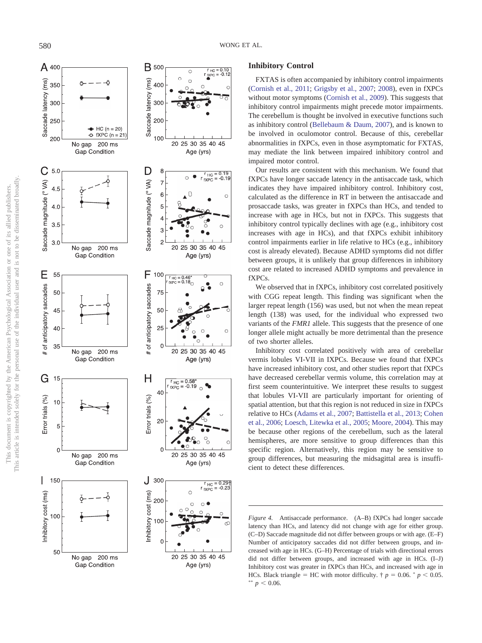

#### 580 WONG ET AL.

# **Inhibitory Control**

FXTAS is often accompanied by inhibitory control impairments (Cornish et al., 2011 ; Grigsby et al., 2007 ; 2008), even in fXPCs without motor symptoms (Cornish et al., 2009). This suggests that inhibitory control impairments might precede motor impairments. The cerebellum is thought be involved in executive functions such as inhibitory control (Bellebaum & Daum, 2007), and is known to be involved in oculomotor control. Because of this, cerebellar abnormalities in fXPCs, even in those asymptomatic for FXTAS, may mediate the link between impaired inhibitory control and impaired motor control.

Our results are consistent with this mechanism. We found that fXPCs have longer saccade latency in the antisaccade task, which indicates they have impaired inhibitory control. Inhibitory cost, calculated as the difference in RT in between the antisaccade and prosaccade tasks, was greater in fXPCs than HCs, and tended to increase with age in HCs, but not in fXPCs. This suggests that inhibitory control typically declines with age (e.g., inhibitory cost increases with age in HCs), and that fXPCs exhibit inhibitory control impairments earlier in life relative to HCs (e.g., inhibitory cost is already elevated). Because ADHD symptoms did not differ between groups, it is unlikely that group differences in inhibitory cost are related to increased ADHD symptoms and prevalence in fXPCs.

We observed that in fXPCs, inhibitory cost correlated positively with CGG repeat length. This finding was significant when the larger repeat length (156) was used, but not when the mean repeat length (138) was used, for the individual who expressed two variants of the *FMR1* allele. This suggests that the presence of one longer allele might actually be more detrimental than the presence of two shorter alleles.

Inhibitory cost correlated positively with area of cerebellar vermis lobules VI-VII in IXPCs. Because we found that fXPCs have increased inhibitory cost, and other studies report that fXPCs have decreased cerebellar vermis volume, this correlation may at first seem counterintuitive. We interpret these results to suggest that lobules VI-VII are particularly important for orienting of spatial attention, but that this region is not reduced in size in fXPCs relative to HCs (Adams et al., 2007 ; Battistella et al., 2013 ; Cohen et al., 2006 ; Loesch, Litewka et al., 2005 ; Moore, 2004). This may be because other regions of the cerebellum, such as the lateral hemispheres, are more sensitive to group differences than this specific region. Alternatively, this region may be sensitive to group differences, but measuring the midsagittal area is insufficient to detect these differences.

*Figure 4.* Antisaccade performance. (A–B) fXPCs had longer saccade latency than HCs, and latency did not change with age for either group. (C–D) Saccade magnitude did not differ between groups or with age. (E–F) Number of anticipatory saccades did not differ between groups, and increased with age in HCs. (G–H) Percentage of trials with directional errors did not differ between groups, and increased with age in HCs. (I–J) Inhibitory cost was greater in fXPCs than HCs, and increased with age in HCs. Black triangle = HC with motor difficulty.  $\dagger p = 0.06$ .  $\dagger p < 0.05$ .  $p < 0.06$ .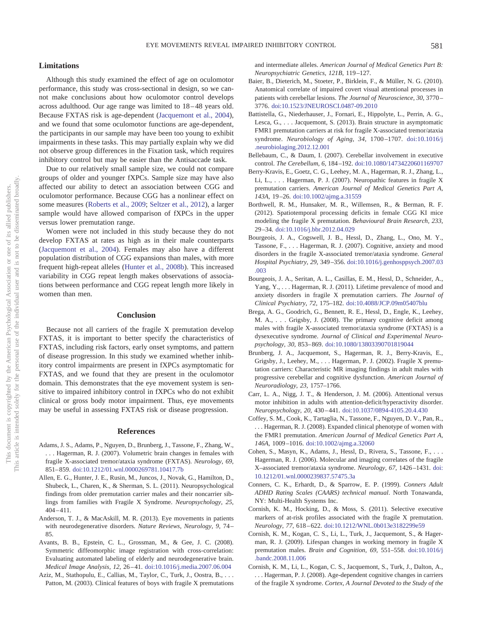## **Limitations**

Although this study examined the effect of age on oculomotor performance, this study was cross-sectional in design, so we cannot make conclusions about how oculomotor control develops across adulthood. Our age range was limited to 18 – 48 years old. Because FXTAS risk is age-dependent (Jacquemont et al., 2004), and we found that some oculomotor functions are age-dependent, the participants in our sample may have been too young to exhibit impairments in these tasks. This may partially explain why we did not observe group differences in the Fixation task, which requires inhibitory control but may be easier than the Antisaccade task.

Due to our relatively small sample size, we could not compare groups of older and younger fXPCs. Sample size may have also affected our ability to detect an association between CGG and oculomotor performance. Because CGG has a nonlinear effect on some measures (Roberts et al., 2009; Seltzer et al., 2012), a larger sample would have allowed comparison of fXPCs in the upper versus lower premutation range.

Women were not included in this study because they do not develop FXTAS at rates as high as in their male counterparts (Jacquemont et al., 2004). Females may also have a different population distribution of CGG expansions than males, with more frequent high-repeat alleles (Hunter et al., 2008b). This increased variability in CGG repeat length makes observations of associations between performance and CGG repeat length more likely in women than men.

#### **Conclusion**

Because not all carriers of the fragile X premutation develop FXTAS, it is important to better specify the characteristics of FXTAS, including risk factors, early onset symptoms, and pattern of disease progression. In this study we examined whether inhibitory control impairments are present in fXPCs asymptomatic for FXTAS, and we found that they are present in the oculomotor domain. This demonstrates that the eye movement system is sensitive to impaired inhibitory control in fXPCs who do not exhibit clinical or gross body motor impairment. Thus, eye movements may be useful in assessing FXTAS risk or disease progression.

#### **References**

- Adams, J. S., Adams, P., Nguyen, D., Brunberg, J., Tassone, F., Zhang, W., . . . Hagerman, R. J. (2007). Volumetric brain changes in females with fragile X-associated tremor/ataxia syndrome (FXTAS). *Neurology, 69,* 851– 859. doi:10.1212/01.wnl.0000269781.10417.7b
- Allen, E. G., Hunter, J. E., Rusin, M., Juncos, J., Novak, G., Hamilton, D., Shubeck, L., Charen, K., & Sherman, S. L. (2011). Neuropsychological findings from older premutation carrier males and their noncarrier siblings from families with Fragile X Syndrome. *Neuropsychology, 25,*  $404 - 411$ .
- Anderson, T. J., & MacAskill, M. R. (2013). Eye movements in patients with neurodegenerative disorders. *Nature Reviews, Neurology, 9,* 74 – 85.
- Avants, B. B., Epstein, C. L., Grossman, M., & Gee, J. C. (2008). Symmetric diffeomorphic image registration with cross-correlation: Evaluating automated labeling of elderly and neurodegenerative brain. *Medical Image Analysis, 12,* 26 – 41. doi:10.1016/j.media.2007.06.004
- Aziz, M., Stathopulu, E., Callias, M., Taylor, C., Turk, J., Oostra, B., ... Patton, M. (2003). Clinical features of boys with fragile X premutations

and intermediate alleles. *American Journal of Medical Genetics Part B: Neuropsychiatric Genetics, 121B,* 119 –127.

- Baier, B., Dieterich, M., Stoeter, P., Birklein, F., & Müller, N. G. (2010). Anatomical correlate of impaired covert visual attentional processes in patients with cerebellar lesions. *The Journal of Neuroscience, 30,* 3770 – 3776. doi:10.1523/JNEUROSCI.0487-09.2010
- Battistella, G., Niederhauser, J., Fornari, E., Hippolyte, L., Perrin, A. G., Lesca, G.,... Jacquemont, S. (2013). Brain structure in asymptomatic FMR1 premutation carriers at risk for fragile X-associated tremor/ataxia syndrome. *Neurobiology of Aging, 34,* 1700 –1707. doi:10.1016/j .neurobiolaging.2012.12.001
- Bellebaum, C., & Daum, I. (2007). Cerebellar involvement in executive control. *The Cerebellum, 6,* 184 –192. doi:10.1080/14734220601169707
- Berry-Kravis, E., Goetz, C. G., Leehey, M. A., Hagerman, R. J., Zhang, L., Li, L., . . . Hagerman, P. J. (2007). Neuropathic features in fragile X premutation carriers. *American Journal of Medical Genetics Part A, 143A,* 19 –26. doi:10.1002/ajmg.a.31559
- Borthwell, R. M., Hunsaker, M. R., Willemsen, R., & Berman, R. F. (2012). Spatiotemporal processing deficits in female CGG KI mice modeling the fragile X premutation. *Behavioural Brain Research, 233,* 29 –34. doi:10.1016/j.bbr.2012.04.029
- Bourgeois, J. A., Cogswell, J. B., Hessl, D., Zhang, L., Ono, M. Y., Tassone, F.,... Hagerman, R. J. (2007). Cognitive, anxiety and mood disorders in the fragile X-associated tremor/ataxia syndrome. *General Hospital Psychiatry, 29,* 349 –356. doi:10.1016/j.genhosppsych.2007.03 .003
- Bourgeois, J. A., Seritan, A. L., Casillas, E. M., Hessl, D., Schneider, A., Yang, Y., ... Hagerman, R. J. (2011). Lifetime prevalence of mood and anxiety disorders in fragile X premutation carriers. *The Journal of Clinical Psychiatry, 72,* 175–182. doi:10.4088/JCP.09m05407blu
- Brega, A. G., Goodrich, G., Bennett, R. E., Hessl, D., Engle, K., Leehey, M. A., . . . Grigsby, J. (2008). The primary cognitive deficit among males with fragile X-associated tremor/ataxia syndrome (FXTAS) is a dysexecutive syndrome. *Journal of Clinical and Experimental Neuropsychology, 30,* 853– 869. doi:10.1080/13803390701819044
- Brunberg, J. A., Jacquemont, S., Hagerman, R. J., Berry-Kravis, E., Grigsby, J., Leehey, M.,... Hagerman, P. J. (2002). Fragile X premutation carriers: Characteristic MR imaging findings in adult males with progressive cerebellar and cognitive dysfunction. *American Journal of Neuroradiology, 23,* 1757–1766.
- Carr, L. A., Nigg, J. T., & Henderson, J. M. (2006). Attentional versus motor inhibition in adults with attention-deficit/hyperactivity disorder. *Neuropsychology, 20,* 430 – 441. doi:10.1037/0894-4105.20.4.430
- Coffey, S. M., Cook, K., Tartaglia, N., Tassone, F., Nguyen, D. V., Pan, R., .. Hagerman, R. J. (2008). Expanded clinical phenotype of women with the FMR1 premutation. *American Journal of Medical Genetics Part A, 146A,* 1009 –1016. doi:10.1002/ajmg.a.32060
- Cohen, S., Masyn, K., Adams, J., Hessl, D., Rivera, S., Tassone, F.,... Hagerman, R. J. (2006). Molecular and imaging correlates of the fragile X–associated tremor/ataxia syndrome. *Neurology, 67,* 1426 –1431. doi: 10.1212/01.wnl.0000239837.57475.3a
- Conners, C. K., Erhardt, D., & Sparrow, E. P. (1999). *Conners Adult ADHD Rating Scales (CAARS) technical manual*. North Tonawanda, NY: Multi-Health Systems Inc.
- Cornish, K. M., Hocking, D., & Moss, S. (2011). Selective executive markers of at-risk profiles associated with the fragile X premutation. *Neurology, 77,* 618 – 622. doi:10.1212/WNL.0b013e3182299e59
- Cornish, K. M., Kogan, C. S., Li, L., Turk, J., Jacquemont, S., & Hagerman, R. J. (2009). Lifespan changes in working memory in fragile X premutation males. *Brain and Cognition, 69,* 551–558. doi:10.1016/j .bandc.2008.11.006
- Cornish, K. M., Li, L., Kogan, C. S., Jacquemont, S., Turk, J., Dalton, A., . . . Hagerman, P. J. (2008). Age-dependent cognitive changes in carriers of the fragile X syndrome. *Cortex, A Journal Devoted to the Study of the*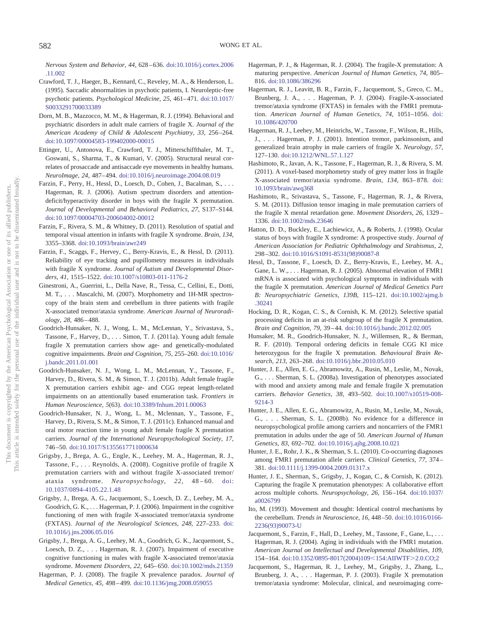*Nervous System and Behavior, 44,* 628 – 636. doi:10.1016/j.cortex.2006 .11.002

- Crawford, T. J., Haeger, B., Kennard, C., Reveley, M. A., & Henderson, L. (1995). Saccadic abnormalities in psychotic patients, I. Neuroleptic-free psychotic patients. *Psychological Medicine*, 25, 461-471. doi:10.1017/ S0033291700033389
- Dorn, M. B., Mazzocco, M. M., & Hagerman, R. J. (1994). Behavioral and psychiatric disorders in adult male carriers of fragile X. *Journal of the American Academy of Child & Adolescent Psychiatry, 33,* 256 –264. doi:10.1097/00004583-199402000-00015
- Ettinger, U., Antonova, E., Crawford, T. J., Mitterschiffthaler, M. T., Goswani, S., Sharma, T., & Kumari, V. (2005). Structural neural correlates of prosaccade and antisaccade eye movements in healthy humans. *NeuroImage, 24,* 487– 494. doi:10.1016/j.neuroimage.2004.08.019
- Farzin, F., Perry, H., Hessl, D., Loesch, D., Cohen, J., Bacalman, S.,... Hagerman, R. J. (2006). Autism spectrum disorders and attentiondeficit/hyperactivity disorder in boys with the fragile X premutation. *Journal of Developmental and Behavioral Pediatrics, 27,* S137–S144. doi:10.1097/00004703-200604002-00012
- Farzin, F., Rivera, S. M., & Whitney, D. (2011). Resolution of spatial and temporal visual attention in infants with fragile X syndrome. *Brain, 134,* 3355–3368. doi:10.1093/brain/awr249
- Farzin, F., Scaggs, F., Hervey, C., Berry-Kravis, E., & Hessl, D. (2011). Reliability of eye tracking and pupillometry measures in individuals with fragile X syndrome. *Journal of Autism and Developmental Disorders, 41,* 1515–1522. doi:10.1007/s10803-011-1176-2
- Ginestroni, A., Guerrini, L., Della Nave, R., Tessa, C., Cellini, E., Dotti, M. T., . . . Mascalchi, M. (2007). Morphometry and 1H-MR spectroscopy of the brain stem and cerebellum in three patients with fragile X-associated tremor/ataxia syndrome. *American Journal of Neuroradiology, 28,* 486 – 488.
- Goodrich-Hunsaker, N. J., Wong, L. M., McLennan, Y., Srivastava, S., Tassone, F., Harvey, D.,... Simon, T. J. (2011a). Young adult female fragile X premutation carriers show age- and genetically-modulated cognitive impairments. *Brain and Cognition, 75,* 255–260. doi:10.1016/ j.bandc.2011.01.001
- Goodrich-Hunsaker, N. J., Wong, L. M., McLennan, Y., Tassone, F., Harvey, D., Rivera, S. M., & Simon, T. J. (2011b). Adult female fragile X premutation carriers exhibit age- and CGG repeat length-related impairments on an attentionally based enumeration task. *Frontiers in Human Neuroscience, 5*(63). doi:10.3389/fnhum.2011.00063
- Goodrich-Hunsaker, N. J., Wong, L. M., Mclennan, Y., Tassone, F., Harvey, D., Rivera, S. M., & Simon, T. J. (2011c). Enhanced manual and oral motor reaction time in young adult female fragile X premutation carriers. *Journal of the International Neuropsychological Society, 17,* 746 –50. doi:10.1017/S1355617711000634
- Grigsby, J., Brega, A. G., Engle, K., Leehey, M. A., Hagerman, R. J., Tassone, F.,... Reynolds, A. (2008). Cognitive profile of fragile X premutation carriers with and without fragile X-associated tremor/ ataxia syndrome. *Neuropsychology*, 22, 48-60. doi: 10.1037/0894-4105.22.1.48
- Grigsby, J., Brega, A. G., Jacquemont, S., Loesch, D. Z., Leehey, M. A., Goodrich, G. K.,... Hagerman, P. J. (2006). Impairment in the cognitive functioning of men with fragile X-associated tremor/ataxia syndrome (FXTAS). *Journal of the Neurological Sciences, 248,* 227–233. doi: 10.1016/j.jns.2006.05.016
- Grigsby, J., Brega, A. G., Leehey, M. A., Goodrich, G. K., Jacquemont, S., Loesch, D. Z.,... Hagerman, R. J. (2007). Impairment of executive cognitive functioning in males with fragile X-associated tremor/ataxia syndrome. *Movement Disorders, 22,* 645– 650. doi:10.1002/mds.21359
- Hagerman, P. J. (2008). The fragile X prevalence paradox. *Journal of Medical Genetics, 45,* 498 – 499. doi:10.1136/jmg.2008.059055
- Hagerman, P. J., & Hagerman, R. J. (2004). The fragile-X premutation: A maturing perspective. *American Journal of Human Genetics, 74,* 805– 816. doi:10.1086/386296
- Hagerman, R. J., Leavitt, B. R., Farzin, F., Jacquemont, S., Greco, C. M., Brunberg, J. A.,... Hagerman, P. J. (2004). Fragile-X-associated tremor/ataxia syndrome (FXTAS) in females with the FMR1 premutation. *American Journal of Human Genetics, 74,* 1051–1056. doi: 10.1086/420700
- Hagerman, R. J., Leehey, M., Heinrichs, W., Tassone, F., Wilson, R., Hills, J., . . . Hagerman, P. J. (2001). Intention tremor, parkinsonism, and generalized brain atrophy in male carriers of fragile X. *Neurology, 57,* 127–130. doi:10.1212/WNL.57.1.127
- Hashimoto, R., Javan, A. K., Tassone, F., Hagerman, R. J., & Rivera, S. M. (2011). A voxel-based morphometry study of grey matter loss in fragile X-associated tremor/ataxia syndrome. *Brain, 134,* 863– 878. doi: 10.1093/brain/awq368
- Hashimoto, R., Srivastava, S., Tassone, F., Hagerman, R. J., & Rivera, S. M. (2011). Diffusion tensor imaging in male premutation carriers of the fragile X mental retardation gene. *Movement Disorders, 26,* 1329 – 1336. doi:10.1002/mds.23646
- Hatton, D. D., Buckley, E., Lachiewicz, A., & Roberts, J. (1998). Ocular status of boys with fragile X syndrome: A prospective study. *Journal of American Association for Pediatric Ophthalmology and Strabismus, 2,* 298 –302. doi:10.1016/S1091-8531(98)90087-8
- Hessl, D., Tassone, F., Loesch, D. Z., Berry-Kravis, E., Leehey, M. A., Gane, L. W.,... Hagerman, R. J. (2005). Abnormal elevation of FMR1 mRNA is associated with psychological symptoms in individuals with the fragile X premutation. *American Journal of Medical Genetics Part B: Neuropsychiatric Genetics, 139B,* 115–121. doi:10.1002/ajmg.b .30241
- Hocking, D. R., Kogan, C. S., & Cornish, K. M. (2012). Selective spatial processing deficits in an at-risk subgroup of the fragile X premutation. *Brain and Cognition, 79,* 39 – 44. doi:10.1016/j.bandc.2012.02.005
- Hunsaker, M. R., Goodrich-Hunsaker, N. J., Willemsen, R., & Berman, R. F. (2010). Temporal ordering deficits in female CGG KI mice heterozygous for the fragile X premutation. *Behavioural Brain Research, 213,* 263–268. doi:10.1016/j.bbr.2010.05.010
- Hunter, J. E., Allen, E. G., Abramowitz, A., Rusin, M., Leslie, M., Novak, G., . . . Sherman, S. L. (2008a). Investigation of phenotypes associated with mood and anxiety among male and female fragile X premutation carriers. *Behavior Genetics, 38,* 493–502. doi:10.1007/s10519-008- 9214-3
- Hunter, J. E., Allen, E. G., Abramowitz, A., Rusin, M., Leslie, M., Novak, G., . . . Sherman, S. L. (2008b). No evidence for a difference in neuropsychological profile among carriers and noncarriers of the FMR1 premutation in adults under the age of 50. *American Journal of Human Genetics, 83,* 692–702. doi:10.1016/j.ajhg.2008.10.021
- Hunter, J. E., Rohr, J. K., & Sherman, S. L. (2010). Co-occurring diagnoses among FMR1 premutation allele carriers. *Clinical Genetics, 77,* 374 – 381. doi:10.1111/j.1399-0004.2009.01317.x
- Hunter, J. E., Sherman, S., Grigsby, J., Kogan, C., & Cornish, K. (2012). Capturing the fragile X premutation phenotypes: A collaborative effort across multiple cohorts. *Neuropsychology, 26,* 156 –164. doi:10.1037/ a0026799
- Ito, M. (1993). Movement and thought: Identical control mechanisms by the cerebellum. *Trends in Neuroscience, 16,* 448 –50. doi:10.1016/0166- 2236(93)90073-U
- Jacquemont, S., Farzin, F., Hall, D., Leehey, M., Tassone, F., Gane, L.,... Hagerman, R. J. (2004). Aging in individuals with the FMR1 mutation. *American Journal on Intellectual and Developmental Disabilities, 109,* 154-164. doi:10.1352/0895-8017(2004)109<154:AIIWTF>2.0.CO;2
- Jacquemont, S., Hagerman, R. J., Leehey, M., Grigsby, J., Zhang, L., Brunberg, J. A.,... Hagerman, P. J. (2003). Fragile X premutation tremor/ataxia syndrome: Molecular, clinical, and neuroimaging corre-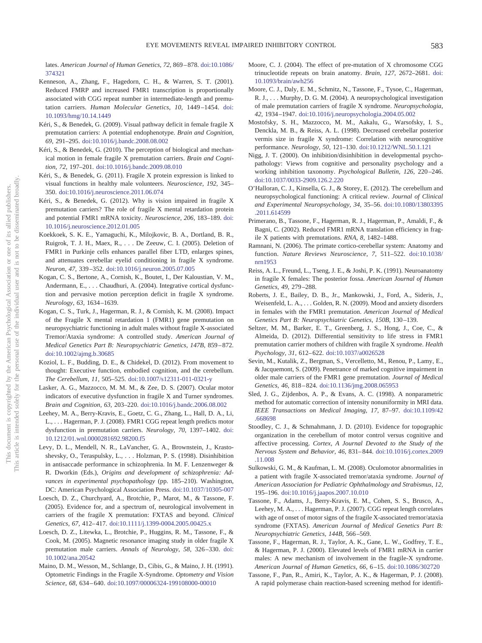lates. *American Journal of Human Genetics, 72,* 869 – 878. doi:10.1086/ 374321

- Kenneson, A., Zhang, F., Hagedorn, C. H., & Warren, S. T. (2001). Reduced FMRP and increased FMR1 transcription is proportionally associated with CGG repeat number in intermediate-length and premutation carriers. *Human Molecular Genetics, 10,* 1449 –1454. doi: 10.1093/hmg/10.14.1449
- Kéri, S., & Benedek, G. (2009). Visual pathway deficit in female fragile X premutation carriers: A potential endophenotype. *Brain and Cognition, 69,* 291–295. doi:10.1016/j.bandc.2008.08.002
- Kéri, S., & Benedek, G. (2010). The perception of biological and mechanical motion in female fragile X premutation carriers. *Brain and Cognition, 72,* 197–201. doi:10.1016/j.bandc.2009.08.010
- Kéri, S., & Benedek, G. (2011). Fragile X protein expression is linked to visual functions in healthy male volunteers. *Neuroscience, 192,* 345– 350. doi:10.1016/j.neuroscience.2011.06.074
- Kéri, S., & Benedek, G. (2012). Why is vision impaired in fragile X premutation carriers? The role of fragile X mental retardation protein and potential FMR1 mRNA toxicity. *Neuroscience, 206,* 183–189. doi: 10.1016/j.neuroscience.2012.01.005
- Koekkoek, S. K. E., Yamaguchi, K., Milojkovic, B. A., Dortland, B. R., Ruigrok, T. J. H., Maex, R., . . . De Zeeuw, C. I. (2005). Deletion of FMR1 in Purkinje cells enhances parallel fiber LTD, enlarges spines, and attenuates cerebellar eyelid conditioning in fragile X syndrome. *Neuron, 47,* 339 –352. doi:10.1016/j.neuron.2005.07.005
- Kogan, C. S., Bertone, A., Cornish, K., Boutet, I., Der Kaloustian, V. M., Andermann, E., . . . Chaudhuri, A. (2004). Integrative cortical dysfunction and pervasive motion perception deficit in fragile X syndrome. *Neurology, 63,* 1634 –1639.
- Kogan, C. S., Turk, J., Hagerman, R. J., & Cornish, K. M. (2008). Impact of the Fragile X mental retardation 1 (FMR1) gene premutation on neuropsychiatric functioning in adult males without fragile X-associated Tremor/Ataxia syndrome: A controlled study. *American Journal of Medical Genetics Part B: Neuropsychiatric Genetics, 147B,* 859 – 872. doi:10.1002/ajmg.b.30685
- Koziol, L. F., Budding, D. E., & Chidekel, D. (2012). From movement to thought: Executive function, embodied cognition, and the cerebellum. *The Cerebellum, 11,* 505–525. doi:10.1007/s12311-011-0321-y
- Lasker, A. G., Mazzocco, M. M. M., & Zee, D. S. (2007). Ocular motor indicators of executive dysfunction in fragile X and Turner syndromes. *Brain and Cognition, 63,* 203–220. doi:10.1016/j.bandc.2006.08.002
- Leehey, M. A., Berry-Kravis, E., Goetz, C. G., Zhang, L., Hall, D. A., Li, L., . . . Hagerman, P. J. (2008). FMR1 CGG repeat length predicts motor dysfunction in premutation carriers. *Neurology, 70,* 1397–1402. doi: 10.1212/01.wnl.0000281692.98200.f5
- Levy, D. L., Mendell, N. R., LaVancher, G. A., Brownstein, J., Krastoshevsky, O., Teraspulsky, L.,... Holzman, P. S. (1998). Disinhibition in antisaccade performance in schizophrenia. In M. F. Lenzenweger & R. Dworkin (Eds.), *Origins and development of schizophrenia: Advances in experimental psychopathology* (pp. 185–210). Washington, DC: American Psychological Association Press. doi:10.1037/10305-007
- Loesch, D. Z., Churchyard, A., Brotchie, P., Marot, M., & Tassone, F. (2005). Evidence for, and a spectrum of, neurological involvement in carriers of the fragile X premutation: FXTAS and beyond. *Clinical Genetics, 67,* 412– 417. doi:10.1111/j.1399-0004.2005.00425.x
- Loesch, D. Z., Litewka, L., Brotchie, P., Huggins, R. M., Tassone, F., & Cook, M. (2005). Magnetic resonance imaging study in older fragile X premutation male carriers. *Annals of Neurology, 58,* 326 –330. doi: 10.1002/ana.20542
- Maino, D. M., Wesson, M., Schlange, D., Cibis, G., & Maino, J. H. (1991). Optometric Findings in the Fragile X-Syndrome. *Optometry and Vision Science, 68,* 634 – 640. doi:10.1097/00006324-199108000-00010
- Moore, C. J. (2004). The effect of pre-mutation of X chromosome CGG trinucleotide repeats on brain anatomy. *Brain, 127,* 2672–2681. doi: 10.1093/brain/awh256
- Moore, C. J., Daly, E. M., Schmitz, N., Tassone, F., Tysoe, C., Hagerman, R. J., . . . Murphy, D. G. M. (2004). A neuropsychological investigation of male premutation carriers of fragile X syndrome. *Neuropsychologia, 42,* 1934 –1947. doi:10.1016/j.neuropsychologia.2004.05.002
- Mostofsky, S. H., Mazzocco, M. M., Aakalu, G., Warsofsky, I. S., Denckla, M. B., & Reiss, A. L. (1998). Decreased cerebellar posterior vermis size in fragile X syndrome: Correlation with neurocognitive performance. *Neurology, 50,* 121–130. doi:10.1212/WNL.50.1.121
- Nigg, J. T. (2000). On inhibition/disinhibition in developmental psychopathology: Views from cognitive and personality psychology and a working inhibition taxonomy. *Psychological Bulletin, 126,* 220 –246. doi:10.1037/0033-2909.126.2.220
- O'Halloran, C. J., Kinsella, G. J., & Storey, E. (2012). The cerebellum and neuropsychological functioning: A critical review. *Journal of Clinical and Experimental Neuropsychology, 34,* 35–56. doi:10.1080/13803395 .2011.614599
- Primerano, B., Tassone, F., Hagerman, R. J., Hagerman, P., Amaldi, F., & Bagni, C. (2002). Reduced FMR1 mRNA translation efficiency in fragile X patients with premutations. *RNA, 8,* 1482–1488.
- Ramnani, N. (2006). The primate cortico-cerebellar system: Anatomy and function. *Nature Reviews Neuroscience, 7,* 511–522. doi:10.1038/ nrn1953
- Reiss, A. L., Freund, L., Tseng, J. E., & Joshi, P. K. (1991). Neuroanatomy in fragile X females: The posterior fossa. *American Journal of Human Genetics, 49,* 279 –288.
- Roberts, J. E., Bailey, D. B., Jr., Mankowski, J., Ford, A., Sideris, J., Weisenfeld, L. A.,... Golden, R. N. (2009). Mood and anxiety disorders in females with the FMR1 premutation. *American Journal of Medical Genetics Part B: Neuropsychiatric Genetics, 150B,* 130 –139.
- Seltzer, M. M., Barker, E. T., Greenberg, J. S., Hong, J., Coe, C., & Almeida, D. (2012). Differential sensitivity to life stress in FMR1 premutation carrier mothers of children with fragile X syndrome. *Health Psychology, 31,* 612– 622. doi:10.1037/a0026528
- Sevin, M., Kutalik, Z., Bergman, S., Vercelletto, M., Renou, P., Lamy, E., & Jacquemont, S. (2009). Penetrance of marked cognitive impairment in older male carriers of the FMR1 gene premutation. *Journal of Medical Genetics, 46,* 818 – 824. doi:10.1136/jmg.2008.065953
- Sled, J. G., Zijdenbos, A. P., & Evans, A. C. (1998). A nonparametric method for automatic correction of intensity nonuniformity in MRI data. *IEEE Transactions on Medical Imaging, 17,* 87–97. doi:10.1109/42 .668698
- Stoodley, C. J., & Schmahmann, J. D. (2010). Evidence for topographic organization in the cerebellum of motor control versus cognitive and affective processing. *Cortex, A Journal Devoted to the Study of the Nervous System and Behavior, 46,* 831– 844. doi:10.1016/j.cortex.2009 .11.008
- Sulkowski, G. M., & Kaufman, L. M. (2008). Oculomotor abnormalities in a patient with fragile X-associated tremor/ataxia syndrome. *Journal of American Association for Pediatric Ophthalmology and Strabismus, 12,* 195–196. doi:10.1016/j.jaapos.2007.10.010
- Tassone, F., Adams, J., Berry-Kravis, E. M., Cohen, S. S., Brusco, A., Leehey, M. A.,... Hagerman, P. J. (2007). CGG repeat length correlates with age of onset of motor signs of the fragile X-associated tremor/ataxia syndrome (FXTAS). *American Journal of Medical Genetics Part B: Neuropsychiatric Genetics, 144B,* 566 –569.
- Tassone, F., Hagerman, R. J., Taylor, A. K., Gane, L. W., Godfrey, T. E., & Hagerman, P. J. (2000). Elevated levels of FMR1 mRNA in carrier males: A new mechanism of involvement in the fragile-X syndrome. *American Journal of Human Genetics, 66,* 6 –15. doi:10.1086/302720
- Tassone, F., Pan, R., Amiri, K., Taylor, A. K., & Hagerman, P. J. (2008). A rapid polymerase chain reaction-based screening method for identifi-